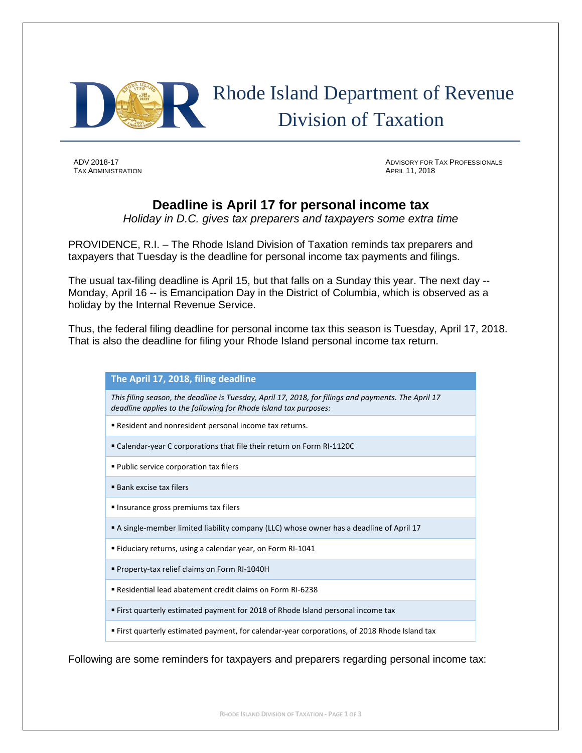

**TAX ADMINISTRATION** 

ADV 2018-17 ADVISORY FOR TAX PROFESSIONALS

## **Deadline is April 17 for personal income tax**

*Holiday in D.C. gives tax preparers and taxpayers some extra time*

PROVIDENCE, R.I. – The Rhode Island Division of Taxation reminds tax preparers and taxpayers that Tuesday is the deadline for personal income tax payments and filings.

The usual tax-filing deadline is April 15, but that falls on a Sunday this year. The next day -- Monday, April 16 -- is Emancipation Day in the District of Columbia, which is observed as a holiday by the Internal Revenue Service.

Thus, the federal filing deadline for personal income tax this season is Tuesday, April 17, 2018. That is also the deadline for filing your Rhode Island personal income tax return.

## **The April 17, 2018, filing deadline**

*This filing season, the deadline is Tuesday, April 17, 2018, for filings and payments. The April 17 deadline applies to the following for Rhode Island tax purposes:*

- Resident and nonresident personal income tax returns.
- Calendar-year C corporations that file their return on Form RI-1120C
- **Public service corporation tax filers**
- Bank excise tax filers
- **Insurance gross premiums tax filers**
- A single-member limited liability company (LLC) whose owner has a deadline of April 17
- Fiduciary returns, using a calendar year, on Form RI-1041
- Property-tax relief claims on Form RI-1040H
- Residential lead abatement credit claims on Form RI-6238
- First quarterly estimated payment for 2018 of Rhode Island personal income tax
- First quarterly estimated payment, for calendar-year corporations, of 2018 Rhode Island tax

Following are some reminders for taxpayers and preparers regarding personal income tax: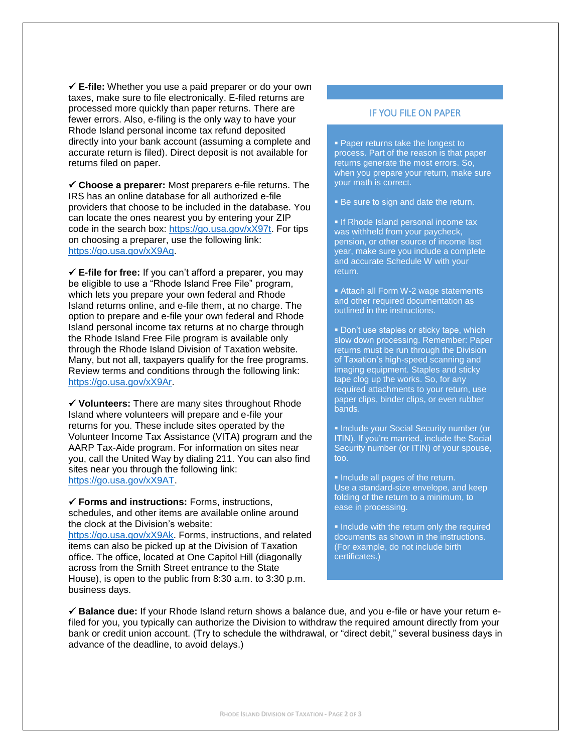**E-file:** Whether you use a paid preparer or do your own taxes, make sure to file electronically. E-filed returns are processed more quickly than paper returns. There are fewer errors. Also, e-filing is the only way to have your Rhode Island personal income tax refund deposited directly into your bank account (assuming a complete and accurate return is filed). Direct deposit is not available for returns filed on paper.

 **Choose a preparer:** Most preparers e-file returns. The IRS has an online database for all authorized e-file providers that choose to be included in the database. You can locate the ones nearest you by entering your ZIP code in the search box: [https://go.usa.gov/xX97t.](https://go.usa.gov/xX97t) For tips on choosing a preparer, use the following link: [https://go.usa.gov/xX9Aq.](https://go.usa.gov/xX9Aq)

 **E-file for free:** If you can't afford a preparer, you may be eligible to use a "Rhode Island Free File" program, which lets you prepare your own federal and Rhode Island returns online, and e-file them, at no charge. The option to prepare and e-file your own federal and Rhode Island personal income tax returns at no charge through the Rhode Island Free File program is available only through the Rhode Island Division of Taxation website. Many, but not all, taxpayers qualify for the free programs. Review terms and conditions through the following link: [https://go.usa.gov/xX9Ar.](https://go.usa.gov/xX9Ar)

 **Volunteers:** There are many sites throughout Rhode Island where volunteers will prepare and e-file your returns for you. These include sites operated by the Volunteer Income Tax Assistance (VITA) program and the AARP Tax-Aide program. For information on sites near you, call the United Way by dialing 211. You can also find sites near you through the following link: [https://go.usa.gov/xX9AT.](https://go.usa.gov/xX9AT)

 **Forms and instructions:** Forms, instructions, schedules, and other items are available online around the clock at the Division's website: [https://go.usa.gov/xX9Ak.](https://go.usa.gov/xX9Ak) Forms, instructions, and related items can also be picked up at the Division of Taxation office. The office, located at One Capitol Hill (diagonally across from the Smith Street entrance to the State House), is open to the public from 8:30 a.m. to 3:30 p.m. business days.

## IF YOU FILE ON PAPER

 Paper returns take the longest to process. Part of the reason is that paper returns generate the most errors. So, when you prepare your return, make sure your math is correct.

**Be sure to sign and date the return.** 

**If Rhode Island personal income tax** was withheld from your paycheck, pension, or other source of income last year, make sure you include a complete and accurate Schedule W with your return.

■ Attach all Form W-2 wage statements and other required documentation as outlined in the instructions.

Don't use staples or sticky tape, which slow down processing. Remember: Paper returns must be run through the Division of Taxation's high-speed scanning and imaging equipment. Staples and sticky tape clog up the works. So, for any required attachments to your return, use paper clips, binder clips, or even rubber bands.

**Include your Social Security number (or** ITIN). If you're married, include the Social Security number (or ITIN) of your spouse, too.

• Include all pages of the return. Use a standard-size envelope, and keep folding of the return to a minimum, to ease in processing.

Include with the return only the required documents as shown in the instructions. (For example, do not include birth certificates.)

 **Balance due:** If your Rhode Island return shows a balance due, and you e-file or have your return efiled for you, you typically can authorize the Division to withdraw the required amount directly from your bank or credit union account. (Try to schedule the withdrawal, or "direct debit," several business days in advance of the deadline, to avoid delays.)